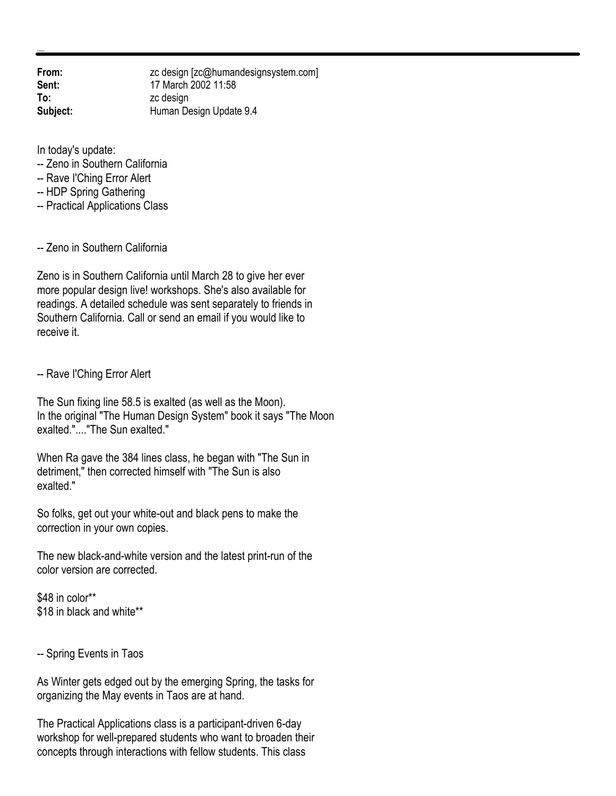**From:** zc design [zc@humandesignsystem.com]<br> **Sent:** 17 March 2002 11:58 **Sent:** 17 March 2002 11:58 **To:** zc design **Subject:** Human Design Update 9.4

In today's update:

- -- Zeno in Southern California
- -- Rave I'Ching Error Alert
- -- HDP Spring Gathering
- -- Practical Applications Class

-- Zeno in Southern California

Zeno is in Southern California until March 28 to give her ever more popular design live! workshops. She's also available for readings. A detailed schedule was sent separately to friends in Southern California. Call or send an email if you would like to receive it.

-- Rave I'Ching Error Alert

The Sun fixing line 58.5 is exalted (as well as the Moon). In the original "The Human Design System" book it says "The Moon exalted."...."The Sun exalted."

When Ra gave the 384 lines class, he began with "The Sun in detriment," then corrected himself with "The Sun is also exalted."

So folks, get out your white-out and black pens to make the correction in your own copies.

The new black-and-white version and the latest print-run of the color version are corrected.

\$48 in color\*\* \$18 in black and white\*\*

-- Spring Events in Taos

As Winter gets edged out by the emerging Spring, the tasks for organizing the May events in Taos are at hand.

The Practical Applications class is a participant-driven 6-day workshop for well-prepared students who want to broaden their concepts through interactions with fellow students. This class